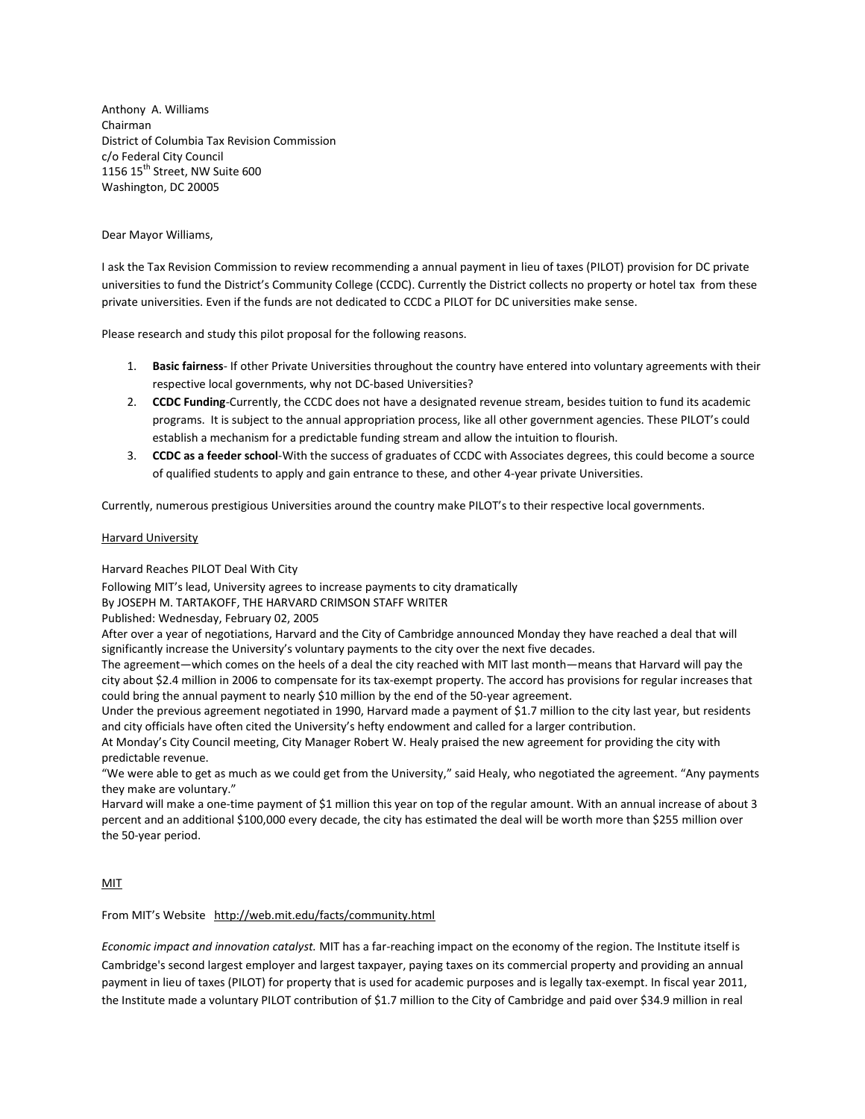Anthony A. Williams Chairman District of Columbia Tax Revision Commission c/o Federal City Council 1156 15<sup>th</sup> Street, NW Suite 600 Washington, DC 20005

Dear Mayor Williams,

I ask the Tax Revision Commission to review recommending a annual payment in lieu of taxes (PILOT) provision for DC private universities to fund the District's Community College (CCDC). Currently the District collects no property or hotel tax from these private universities. Even if the funds are not dedicated to CCDC a PILOT for DC universities make sense.

Please research and study this pilot proposal for the following reasons.

- 1. **Basic fairness** If other Private Universities throughout the country have entered into voluntary agreements with their respective local governments, why not DC-based Universities?
- 2. **CCDC Funding**-Currently, the CCDC does not have a designated revenue stream, besides tuition to fund its academic programs. It is subject to the annual appropriation process, like all other government agencies. These PILOT's could establish a mechanism for a predictable funding stream and allow the intuition to flourish.
- 3. **CCDC as a feeder school**-With the success of graduates of CCDC with Associates degrees, this could become a source of qualified students to apply and gain entrance to these, and other 4-year private Universities.

Currently, numerous prestigious Universities around the country make PILOT's to their respective local governments.

## Harvard University

Harvard Reaches PILOT Deal With City

Following MIT's lead, University agrees to increase payments to city dramatically

By [JOSEPH M. TARTAKOFF,](http://www.thecrimson.com/writer/11435/Joseph_M._Tartakoff/) THE HARVARD CRIMSON STAFF WRITER

Published: Wednesday, February 02, 2005

After over a year of negotiations, Harvard and the City of Cambridge announced Monday they have reached a deal that will significantly increase the University's voluntary payments to the city over the next five decades.

The agreement—which comes on the heels of a deal the city reached with MIT last month—means that Harvard will pay the city about \$2.4 million in 2006 to compensate for its tax-exempt property. The accord has provisions for regular increases that could bring the annual payment to nearly \$10 million by the end of the 50-year agreement.

Under the previous agreement negotiated in 1990, Harvard made a payment of \$1.7 million to the city last year, but residents and city officials have often cited the University's hefty endowment and called for a larger contribution.

At Monday's City Council meeting, City Manager Robert W. Healy praised the new agreement for providing the city with predictable revenue.

"We were able to get as much as we could get from the University," said Healy, who negotiated the agreement. "Any payments they make are voluntary."

Harvard will make a one-time payment of \$1 million this year on top of the regular amount. With an annual increase of about 3 percent and an additional \$100,000 every decade, the city has estimated the deal will be worth more than \$255 million over the 50-year period.

## MIT

From MIT's Website http://web.mit.edu/facts/community.html

*Economic impact and innovation catalyst.* MIT has a far-reaching impact on the economy of the region. The Institute itself is Cambridge's second largest employer and largest taxpayer, paying taxes on its commercial property and providing an annual payment in lieu of taxes [\(PILOT\)](http://web.mit.edu/govt-relations/aboutus/impact.html) for property that is used for academic purposes and is legally tax-exempt. In fiscal year 2011, the Institute made a voluntary PILOT contribution of \$1.7 million to the City of Cambridge and paid over \$34.9 million in real